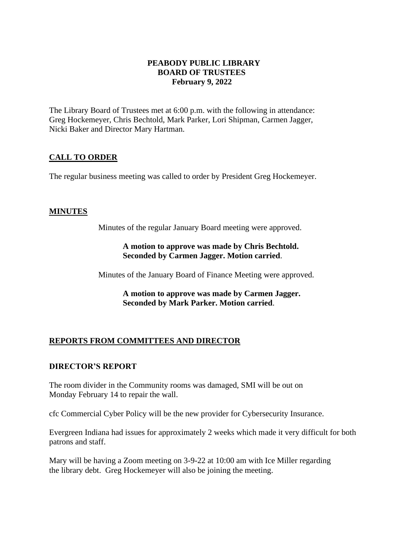### **PEABODY PUBLIC LIBRARY BOARD OF TRUSTEES February 9, 2022**

The Library Board of Trustees met at 6:00 p.m. with the following in attendance: Greg Hockemeyer, Chris Bechtold, Mark Parker, Lori Shipman, Carmen Jagger, Nicki Baker and Director Mary Hartman.

## **CALL TO ORDER**

The regular business meeting was called to order by President Greg Hockemeyer.

### **MINUTES**

Minutes of the regular January Board meeting were approved.

### **A motion to approve was made by Chris Bechtold. Seconded by Carmen Jagger. Motion carried**.

Minutes of the January Board of Finance Meeting were approved.

**A motion to approve was made by Carmen Jagger. Seconded by Mark Parker. Motion carried**.

# **REPORTS FROM COMMITTEES AND DIRECTOR**

## **DIRECTOR'S REPORT**

The room divider in the Community rooms was damaged, SMI will be out on Monday February 14 to repair the wall.

cfc Commercial Cyber Policy will be the new provider for Cybersecurity Insurance.

Evergreen Indiana had issues for approximately 2 weeks which made it very difficult for both patrons and staff.

Mary will be having a Zoom meeting on 3-9-22 at 10:00 am with Ice Miller regarding the library debt. Greg Hockemeyer will also be joining the meeting.